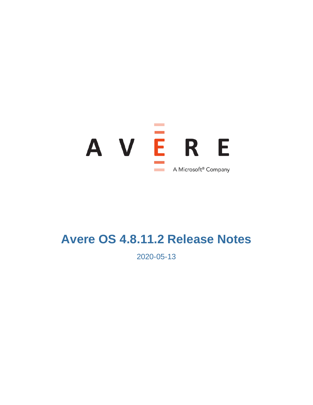

# **Avere OS 4.8.11.2 Release Notes**

2020-05-13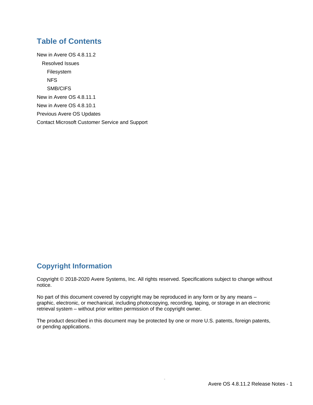### **Table of Contents**

[New in Avere OS 4.8.11.2](#page--1-0) [Resolved Issues](#page-2-0) [Filesystem](#page-2-1) [NFS](#page-2-2) [SMB/CIFS](#page-2-3) [New in Avere OS 4.8.11.1](#page-3-0) [New in Avere OS 4.8.10.1](#page-3-1) [Previous Avere OS Updates](#page--1-1) [Contact Microsoft Customer Service and Support](#page-4-0)

### **Copyright Information**

Copyright © 2018-2020 Avere Systems, Inc. All rights reserved. Specifications subject to change without notice.

No part of this document covered by copyright may be reproduced in any form or by any means – graphic, electronic, or mechanical, including photocopying, recording, taping, or storage in an electronic retrieval system – without prior written permission of the copyright owner.

The product described in this document may be protected by one or more U.S. patents, foreign patents, or pending applications.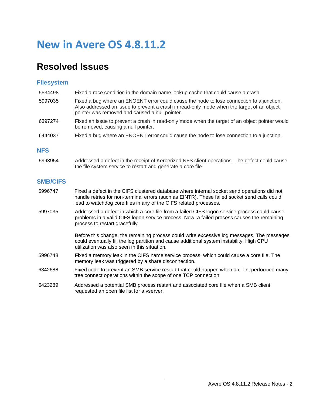# **New in Avere OS 4.8.11.2**

### <span id="page-2-0"></span>**Resolved Issues**

#### <span id="page-2-1"></span>**Filesystem**

| 5534498 | Fixed a race condition in the domain name lookup cache that could cause a crash.                                                                                                                                                        |
|---------|-----------------------------------------------------------------------------------------------------------------------------------------------------------------------------------------------------------------------------------------|
| 5997035 | Fixed a bug where an ENOENT error could cause the node to lose connection to a junction.<br>Also addressed an issue to prevent a crash in read-only mode when the target of an object<br>pointer was removed and caused a null pointer. |
| 6397274 | Fixed an issue to prevent a crash in read-only mode when the target of an object pointer would<br>be removed, causing a null pointer.                                                                                                   |
| 6444037 | Fixed a bug where an ENOENT error could cause the node to lose connection to a junction.                                                                                                                                                |

#### <span id="page-2-2"></span>**NFS**

5993954 Addressed a defect in the receipt of Kerberized NFS client operations. The defect could cause the file system service to restart and generate a core file.

#### <span id="page-2-3"></span>**SMB/CIFS**

- 5996747 Fixed a defect in the CIFS clustered database where internal socket send operations did not handle retries for non-terminal errors (such as EINTR). These failed socket send calls could lead to watchdog core files in any of the CIFS related processes.
- 5997035 Addressed a defect in which a core file from a failed CIFS logon service process could cause problems in a valid CIFS logon service process. Now, a failed process causes the remaining process to restart gracefully.

Before this change, the remaining process could write excessive log messages. The messages could eventually fill the log partition and cause additional system instability. High CPU utilization was also seen in this situation.

- 5996748 Fixed a memory leak in the CIFS name service process, which could cause a core file. The memory leak was triggered by a share disconnection.
- 6342688 Fixed code to prevent an SMB service restart that could happen when a client performed many tree connect operations within the scope of one TCP connection.
- 6423289 Addressed a potential SMB process restart and associated core file when a SMB client requested an open file list for a vserver.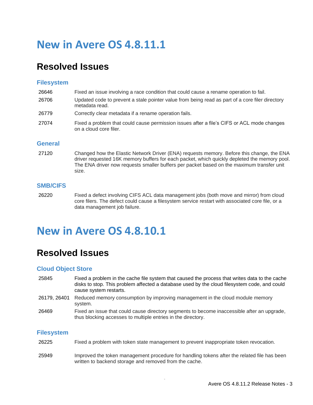# <span id="page-3-0"></span>**New in Avere OS 4.8.11.1**

### **Resolved Issues**

#### **Filesystem**

| 26646 | Fixed an issue involving a race condition that could cause a rename operation to fail.                               |
|-------|----------------------------------------------------------------------------------------------------------------------|
| 26706 | Updated code to prevent a stale pointer value from being read as part of a core filer directory<br>metadata read.    |
| 26779 | Correctly clear metadata if a rename operation fails.                                                                |
| 27074 | Fixed a problem that could cause permission issues after a file's CIFS or ACL mode changes<br>on a cloud core filer. |

#### **General**

27120 Changed how the Elastic Network Driver (ENA) requests memory. Before this change, the ENA driver requested 16K memory buffers for each packet, which quickly depleted the memory pool. The ENA driver now requests smaller buffers per packet based on the maximum transfer unit size.

#### **SMB/CIFS**

26220 Fixed a defect involving CIFS ACL data management jobs (both move and mirror) from cloud core filers. The defect could cause a filesystem service restart with associated core file, or a data management job failure.

### <span id="page-3-1"></span>**New in Avere OS 4.8.10.1**

### **Resolved Issues**

#### **Cloud Object Store**

- 25845 Fixed a problem in the cache file system that caused the process that writes data to the cache disks to stop. This problem affected a database used by the cloud filesystem code, and could cause system restarts.
- 26179, 26401 Reduced memory consumption by improving management in the cloud module memory system.
- 26469 Fixed an issue that could cause directory segments to become inaccessible after an upgrade, thus blocking accesses to multiple entries in the directory.

#### **Filesystem**

- 26225 Fixed a problem with token state management to prevent inappropriate token revocation.
- 25949 Improved the token management procedure for handling tokens after the related file has been written to backend storage and removed from the cache.